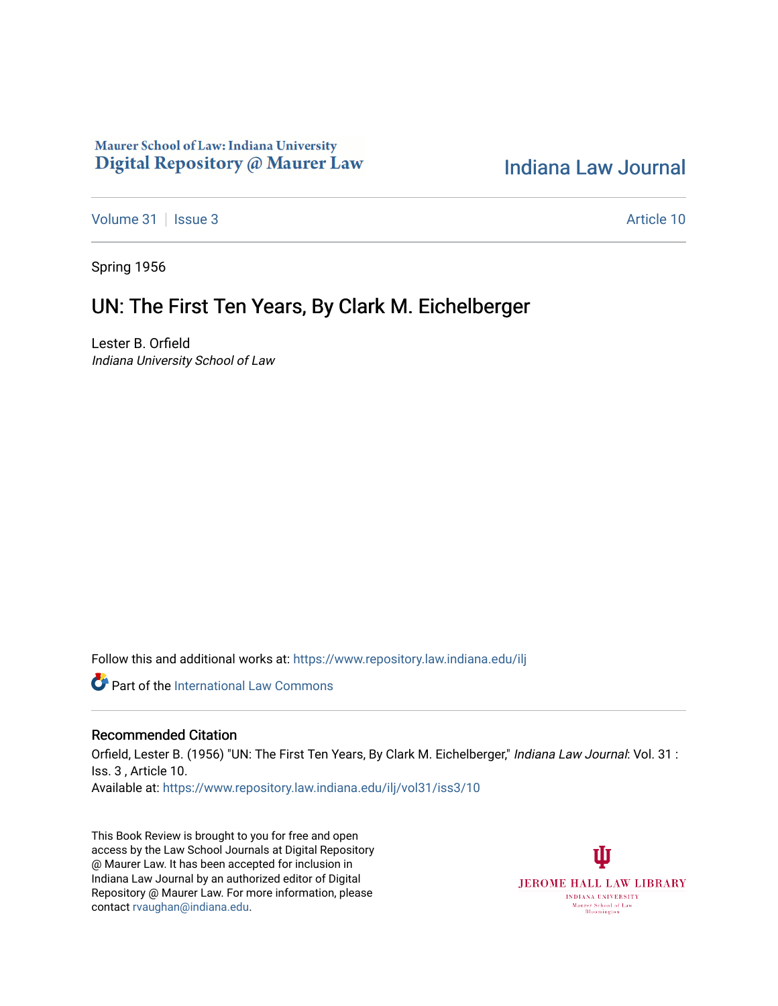## Maurer School of Law: Indiana University Digital Repository @ Maurer Law

## [Indiana Law Journal](https://www.repository.law.indiana.edu/ilj)

[Volume 31](https://www.repository.law.indiana.edu/ilj/vol31) | [Issue 3](https://www.repository.law.indiana.edu/ilj/vol31/iss3) Article 10

Spring 1956

## UN: The First Ten Years, By Clark M. Eichelberger

Lester B. Orfield Indiana University School of Law

Follow this and additional works at: [https://www.repository.law.indiana.edu/ilj](https://www.repository.law.indiana.edu/ilj?utm_source=www.repository.law.indiana.edu%2Filj%2Fvol31%2Fiss3%2F10&utm_medium=PDF&utm_campaign=PDFCoverPages) 

**C** Part of the International Law Commons

## Recommended Citation

Orfield, Lester B. (1956) "UN: The First Ten Years, By Clark M. Eichelberger," Indiana Law Journal: Vol. 31 : Iss. 3 , Article 10. Available at: [https://www.repository.law.indiana.edu/ilj/vol31/iss3/10](https://www.repository.law.indiana.edu/ilj/vol31/iss3/10?utm_source=www.repository.law.indiana.edu%2Filj%2Fvol31%2Fiss3%2F10&utm_medium=PDF&utm_campaign=PDFCoverPages)

This Book Review is brought to you for free and open access by the Law School Journals at Digital Repository @ Maurer Law. It has been accepted for inclusion in Indiana Law Journal by an authorized editor of Digital Repository @ Maurer Law. For more information, please contact [rvaughan@indiana.edu](mailto:rvaughan@indiana.edu).

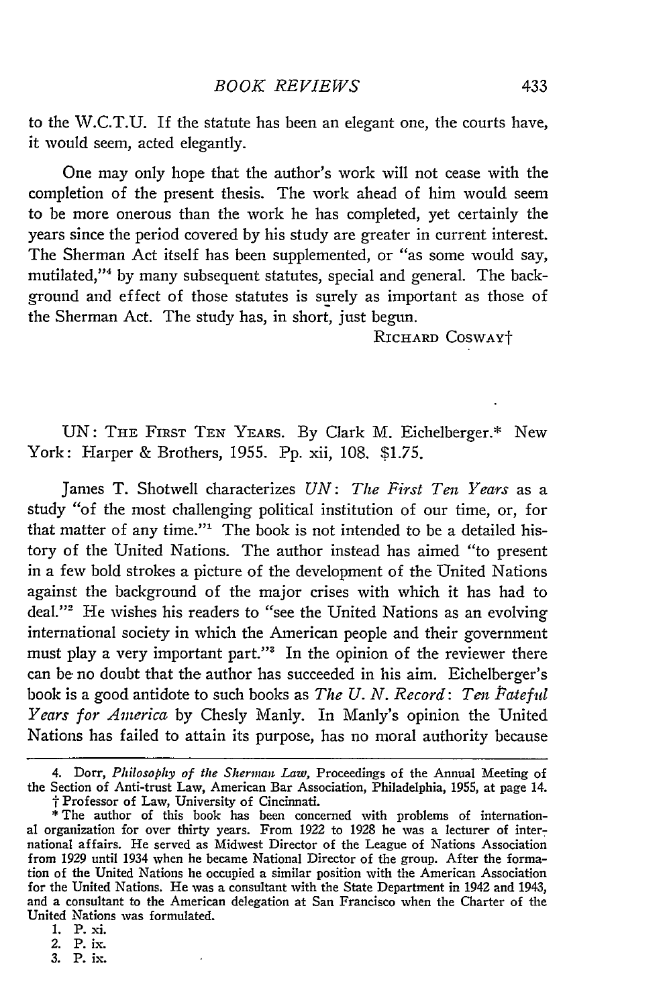UN: THE FIRST TEN YEARS. By Clark M. Eichelberger.\* New York: Harper & Brothers, 1955. Pp. xii, 108. \$1.75.

James T. Shotwell characterizes *UN: The First Ten Years* as a study "of the most challenging political institution of our time, or, for that matter of any time."' The book is not intended to be a detailed history of the United Nations. The author instead has aimed "to present in a few bold strokes a picture of the development of the United Nations against the background of the major crises with which it has had to deal."<sup>2</sup> He wishes his readers to "see the United Nations as an evolving international society in which the American people and their government must play a very important part."<sup>3</sup> In the opinion of the reviewer there can be no doubt that the author has succeeded in his aim. Eichelberger's book is a good antidote to such books as *The U. N. Record: Ten Pateful Years for America* by Chesly Manly. In Manly's opinion the United Nations has failed to attain its purpose, has no moral authority because

4. Dorr, *Philosophy of the Sherman Law,* Proceedings of the Annual Meeting of the Section of Anti-trust Law, American Bar Association, Philadelphia, **1955,** at page 14. t Professor of Law, University of Cincinnati.

\* The author of this book has been concerned with problems of international organization for over thirty years. From **1922** to 1928 he was a lecturer of international affairs. He served as Midwest Director of the League of Nations Association from 1929 until 1934 when he became National Director of the group. After the formation of the United Nations he occupied a similar position with the American Association for the United Nations. He was a consultant with the State Department in 1942 and 1943, and a consultant to the American delegation at San Francisco when the Charter of the United Nations was formulated.

- 2. P. **ix.**
- 3. P. ix.

<sup>1.</sup> P. **xi.**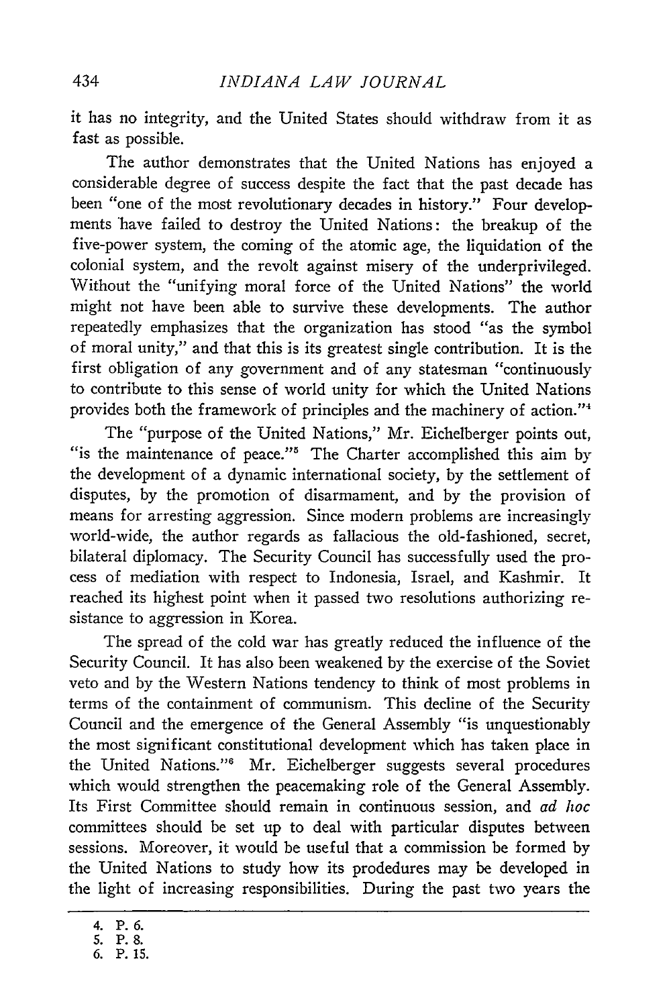it has no integrity, and the United States should withdraw from it as fast as possible.

The author demonstrates that the United Nations has enjoyed a considerable degree of success despite the fact that the past decade has been "one of the most revolutionary decades in history." Four developments have failed to destroy the United Nations: the breakup of the five-power system, the coming of the atomic age, the liquidation of the colonial system, and the revolt against misery of the underprivileged. Without the "unifying moral force of the United Nations" the world might not have been able to survive these developments. The author repeatedly emphasizes that the organization has stood "as the symbol of moral unity," and that this is its greatest single contribution. It is the first obligation of any government and of any statesman "continuously to contribute to this sense of world unity for which the United Nations provides both the framework of principles and the machinery of action."4

The "purpose of the United Nations," Mr. Eichelberger points out, "is the maintenance of peace."<sup>5</sup> The Charter accomplished this aim by the development of a dynamic international society, by the settlement of disputes, by the promotion of disarmament, and by the provision of means for arresting aggression. Since modern problems are increasingly world-wide, the author regards as fallacious the old-fashioned, secret, bilateral diplomacy. The Security Council has successfully used the process of mediation with respect to Indonesia, Israel, and Kashmir. It reached its highest point when it passed two resolutions authorizing resistance to aggression in Korea.

The spread of the cold war has greatly reduced the influence of the Security Council. It has also been weakened by the exercise of the Soviet veto and by the Western Nations tendency to think of most problems in terms of the containment of communism. This decline of the Security Council and the emergence of the General Assembly "is unquestionably the most significant constitutional development which has taken place in the United Nations."<sup>6</sup> Mr. Eichelberger suggests several procedures which would strengthen the peacemaking role of the General Assembly. Its First Committee should remain in continuous session, and *ad hoc* committees should be set up to deal with particular disputes between sessions. Moreover, it would be useful that a commission be formed by the United Nations to study how its prodedures may be developed in the light of increasing responsibilities. During the past two years the

<sup>4.</sup> P. **6.**

**<sup>5.</sup> P. 8.**

**<sup>6.</sup>** P. **15.**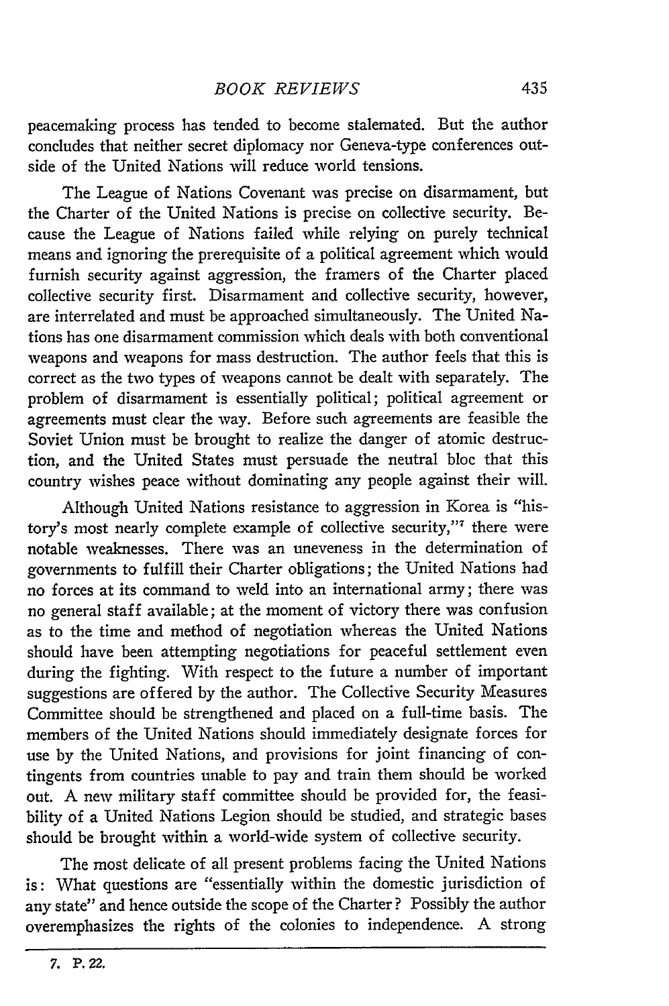peacemaking process has tended to become stalemated. But the author concludes that neither secret diplomacy nor Geneva-type conferences outside of the United Nations will reduce world tensions.

The League of Nations Covenant was precise on disarmament, but the Charter of the United Nations is precise on collective security. Because the League of Nations failed while relying on purely technical means and ignoring the prerequisite of a political agreement which would furnish security against aggression, the framers of the Charter placed collective security first. Disarmament and collective security, however, are interrelated and must be approached simultaneously. The United Nations has one disarmament commission which deals with both conventional weapons and weapons for mass destruction. The author feels that this is correct as the two types of weapons cannot be dealt with separately. The problem of disarmament is essentially political; political agreement or agreements must clear the way. Before such agreements are feasible the Soviet Union must be brought to realize the danger of atomic destruction, and the United States must persuade the neutral bloc that this country wishes peace without dominating any people against their will.

Although United Nations resistance to aggression in Korea is "history's most nearly complete example of collective security,"' there were notable weaknesses. There was an uneveness in the determination of governments to fulfill their Charter obligations; the United Nations had no forces at its command to weld into an international army; there was no general staff available; at the moment of victory there was confusion as to the time and method of negotiation whereas the United Nations should have been attempting negotiations for peaceful settlement even during the fighting. With respect to the future a number of important suggestions are offered by the author. The Collective Security Measures Committee should be strengthened and placed on a full-time basis. The members of the United Nations should immediately designate forces for use by the United Nations, and provisions for joint financing of contingents from countries unable to pay and train them should be worked out. A new military staff committee should be provided for, the feasibility of a United Nations Legion should be studied, and strategic bases should be brought within a world-wide system of collective security.

The most delicate of all present problems facing the United Nations is: What questions are "essentially within the domestic jurisdiction of any state" and hence outside the scope of the Charter? Possibly the author overemphasizes the rights of the colonies to independence. A strong